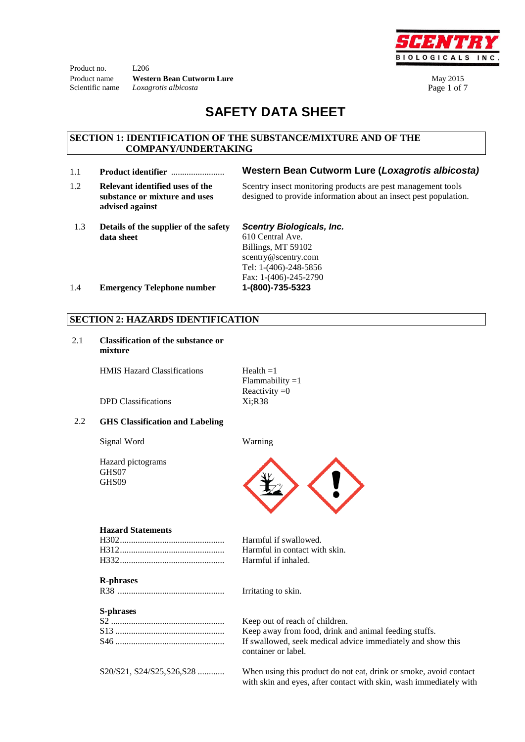Product no. L206 **Product name Western Bean Cutworm Lure** May 2015 Scientific name *Loxagrotis albicosta* **Page 1 of 7** 



# **SAFETY DATA SHEET**

#### **SECTION 1: IDENTIFICATION OF THE SUBSTANCE/MIXTURE AND OF THE COMPANY/UNDERTAKING**

- 
- 1.2 **Relevant identified uses of the substance or mixture and uses advised against**
- 1.1 **Product identifier** ........................ **Western Bean Cutworm Lure (***Loxagrotis albicosta)*

Scentry insect monitoring products are pest management tools designed to provide information about an insect pest population.

 1.3 **Details of the supplier of the safety data sheet**

*Scentry Biologicals, Inc.* 

610 Central Ave. Billings, MT 59102 scentry@scentry.com Tel: 1-(406)-248-5856 Fax: 1-(406)-245-2790

1.4 **Emergency Telephone number 1-(800)-735-5323**

### **SECTION 2: HAZARDS IDENTIFICATION**

2.1 **Classification of the substance or mixture**

HMIS Hazard Classifications  $Health =1$ 

Flammability  $=1$ Reactivity  $=0$ 

DPD Classifications Xi;R38

### 2.2 **GHS Classification and Labeling**

Signal Word Warning

Hazard pictograms GHS07 GHS09



#### **Hazard Statements**

#### **R-phrases**

R38 ................................................ Irritating to skin.

#### **S-phrases**

Harmful if swallowed. Harmful in contact with skin. Harmful if inhaled.

Keep out of reach of children. Keep away from food, drink and animal feeding stuffs. If swallowed, seek medical advice immediately and show this container or label.

S20/S21, S24/S25,S26,S28 ............ When using this product do not eat, drink or smoke, avoid contact with skin and eyes, after contact with skin, wash immediately with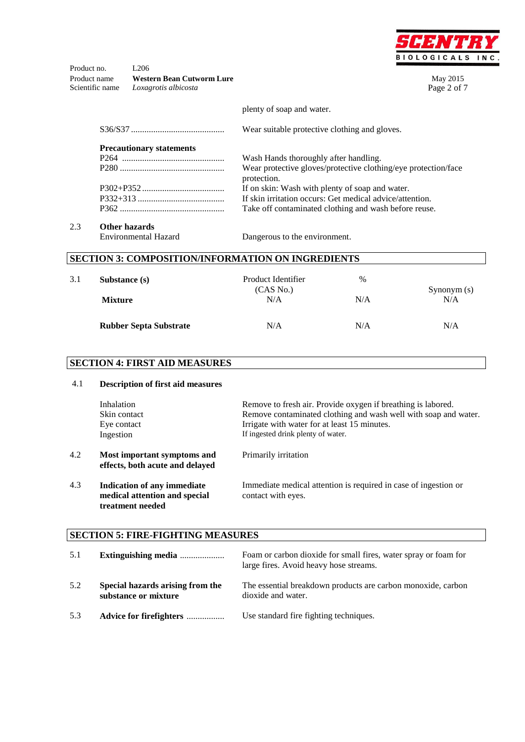

Product no. L<sub>206</sub> Product name **Western Bean Cutworm Lure** May 2015<br> **Scientific name** *Loxagrotis albicosta* Page 2 of 7 Scientific name *Loxagrotis albicosta* 

plenty of soap and water.

|                                 | Wear suitable protective clothing and gloves.                                 |
|---------------------------------|-------------------------------------------------------------------------------|
| <b>Precautionary statements</b> |                                                                               |
|                                 | Wash Hands thoroughly after handling.                                         |
|                                 | Wear protective gloves/protective clothing/eye protection/face<br>protection. |
|                                 | If on skin: Wash with plenty of soap and water.                               |
|                                 | If skin irritation occurs: Get medical advice/attention.                      |
|                                 | Take off contaminated clothing and wash before reuse.                         |
|                                 |                                                                               |

## 2.3 **Other hazards**

Environmental Hazard Dangerous to the environment.

## **SECTION 3: COMPOSITION/INFORMATION ON INGREDIENTS**

| 3.1 | Substance (s)<br><b>Mixture</b> | Product Identifier<br>(CAS No.)<br>N/A | $\frac{0}{0}$<br>N/A | Synonym (s)<br>N/A |
|-----|---------------------------------|----------------------------------------|----------------------|--------------------|
|     | <b>Rubber Septa Substrate</b>   | N/A                                    | N/A                  | N/A                |

## **SECTION 4: FIRST AID MEASURES**

| 4.1 | <b>Description of first aid measures</b>                                         |                                                                                                                                                                                                                       |
|-----|----------------------------------------------------------------------------------|-----------------------------------------------------------------------------------------------------------------------------------------------------------------------------------------------------------------------|
|     | Inhalation<br>Skin contact<br>Eye contact<br>Ingestion                           | Remove to fresh air. Provide oxygen if breathing is labored.<br>Remove contaminated clothing and wash well with soap and water.<br>Irrigate with water for at least 15 minutes.<br>If ingested drink plenty of water. |
| 4.2 | Most important symptoms and<br>effects, both acute and delayed                   | Primarily irritation                                                                                                                                                                                                  |
| 4.3 | Indication of any immediate<br>medical attention and special<br>treatment needed | Immediate medical attention is required in case of ingestion or<br>contact with eyes.                                                                                                                                 |

## **SECTION 5: FIRE-FIGHTING MEASURES**

| 5.1 | Extinguishing media                                      | Foam or carbon dioxide for small fires, water spray or foam for<br>large fires. Avoid heavy hose streams. |
|-----|----------------------------------------------------------|-----------------------------------------------------------------------------------------------------------|
| 5.2 | Special hazards arising from the<br>substance or mixture | The essential breakdown products are carbon monoxide, carbon<br>dioxide and water.                        |
| 5.3 | Advice for firefighters                                  | Use standard fire fighting techniques.                                                                    |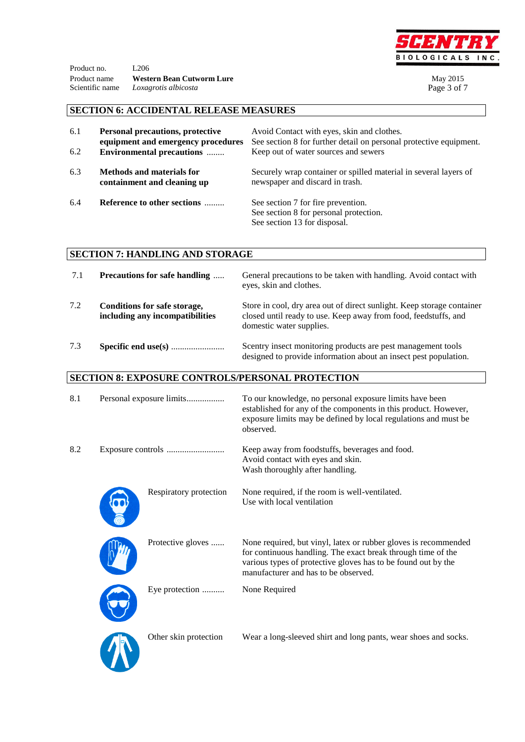

Product no. L<sub>206</sub> Product name **Western Bean Cutworm Lure** May 2015<br> **Scientific name** *Loxagrotis albicosta* Page 3 of 7 Scientific name *Loxagrotis albicosta* 

## **SECTION 6: ACCIDENTAL RELEASE MEASURES**

| 6.1<br>6.2 | <b>Personal precautions, protective</b><br>equipment and emergency procedures<br><b>Environmental precautions </b> | Avoid Contact with eyes, skin and clothes.<br>See section 8 for further detail on personal protective equipment.<br>Keep out of water sources and sewers |
|------------|--------------------------------------------------------------------------------------------------------------------|----------------------------------------------------------------------------------------------------------------------------------------------------------|
| 6.3        | <b>Methods and materials for</b><br>containment and cleaning up                                                    | Securely wrap container or spilled material in several layers of<br>newspaper and discard in trash.                                                      |
| 6.4        | Reference to other sections                                                                                        | See section 7 for fire prevention.<br>See section 8 for personal protection.<br>See section 13 for disposal.                                             |

## **SECTION 7: HANDLING AND STORAGE**

| 7.1 | <b>Precautions for safe handling </b>                           | General precautions to be taken with handling. Avoid contact with<br>eyes, skin and clothes.                                                                          |
|-----|-----------------------------------------------------------------|-----------------------------------------------------------------------------------------------------------------------------------------------------------------------|
| 7.2 | Conditions for safe storage,<br>including any incompatibilities | Store in cool, dry area out of direct sunlight. Keep storage container<br>closed until ready to use. Keep away from food, feedstuffs, and<br>domestic water supplies. |
| 7.3 |                                                                 | Scentry insect monitoring products are pest management tools<br>designed to provide information about an insect pest population.                                      |

## **SECTION 8: EXPOSURE CONTROLS/PERSONAL PROTECTION**

| 8.1 | Personal exposure limits | To our knowledge, no personal exposure limits have been<br>established for any of the components in this product. However,<br>exposure limits may be defined by local regulations and must be<br>observed.                               |
|-----|--------------------------|------------------------------------------------------------------------------------------------------------------------------------------------------------------------------------------------------------------------------------------|
| 8.2 |                          | Keep away from foodstuffs, beverages and food.<br>Avoid contact with eyes and skin.<br>Wash thoroughly after handling.                                                                                                                   |
|     | Respiratory protection   | None required, if the room is well-ventilated.<br>Use with local ventilation                                                                                                                                                             |
|     | Protective gloves        | None required, but vinyl, latex or rubber gloves is recommended<br>for continuous handling. The exact break through time of the<br>various types of protective gloves has to be found out by the<br>manufacturer and has to be observed. |
|     | Eye protection           | None Required                                                                                                                                                                                                                            |
|     | Other skin protection    | Wear a long-sleeved shirt and long pants, wear shoes and socks.                                                                                                                                                                          |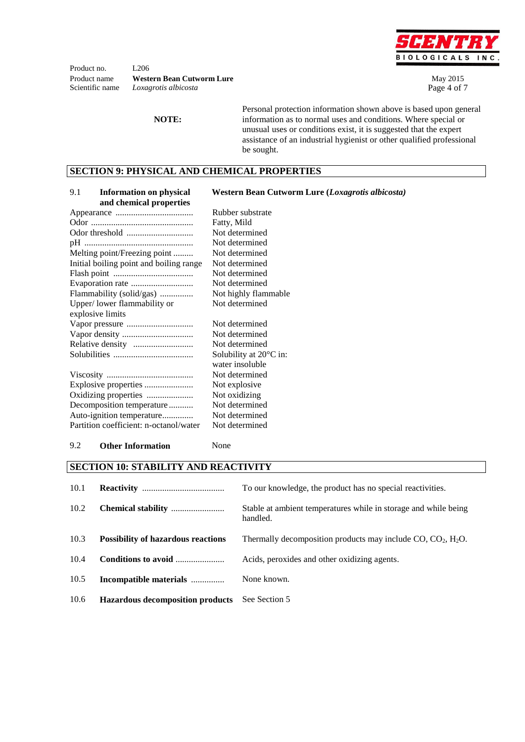

Product no. L<sub>206</sub> **Product name Western Bean Cutworm Lure** May 2015 Scientific name *Loxagrotis albicosta* Page 4 of 7

**NOTE:**

Personal protection information shown above is based upon general information as to normal uses and conditions. Where special or unusual uses or conditions exist, it is suggested that the expert assistance of an industrial hygienist or other qualified professional be sought.

### **SECTION 9: PHYSICAL AND CHEMICAL PROPERTIES**

| 9.1<br><b>Information on physical</b><br>and chemical properties | Western Bean Cutworm Lure (Loxagrotis albicosta) |
|------------------------------------------------------------------|--------------------------------------------------|
|                                                                  | Rubber substrate                                 |
|                                                                  | Fatty, Mild                                      |
|                                                                  | Not determined                                   |
|                                                                  | Not determined                                   |
| Melting point/Freezing point                                     | Not determined                                   |
| Initial boiling point and boiling range                          | Not determined                                   |
|                                                                  | Not determined                                   |
|                                                                  | Not determined                                   |
| Flammability (solid/gas)                                         | Not highly flammable                             |
| Upper/lower flammability or                                      | Not determined                                   |
| explosive limits                                                 |                                                  |
|                                                                  | Not determined                                   |
|                                                                  | Not determined                                   |
|                                                                  | Not determined                                   |
|                                                                  | Solubility at $20^{\circ}$ C in:                 |
|                                                                  | water insoluble                                  |
|                                                                  | Not determined                                   |
|                                                                  | Not explosive.                                   |
| Oxidizing properties                                             | Not oxidizing                                    |
| Decomposition temperature                                        | Not determined                                   |
| Auto-ignition temperature                                        | Not determined                                   |
| Partition coefficient: n-octanol/water                           | Not determined                                   |

#### 9.2 **Other Information** None

#### **SECTION 10: STABILITY AND REACTIVITY**

| 10.1 |                                           | To our knowledge, the product has no special reactivities.                  |
|------|-------------------------------------------|-----------------------------------------------------------------------------|
| 10.2 |                                           | Stable at ambient temperatures while in storage and while being<br>handled. |
| 10.3 | <b>Possibility of hazardous reactions</b> | Thermally decomposition products may include $CO$ , $CO_2$ , $H_2O$ .       |
| 10.4 | Conditions to avoid                       | Acids, peroxides and other oxidizing agents.                                |
| 10.5 | Incompatible materials                    | None known.                                                                 |
| 10.6 | <b>Hazardous decomposition products</b>   | See Section 5                                                               |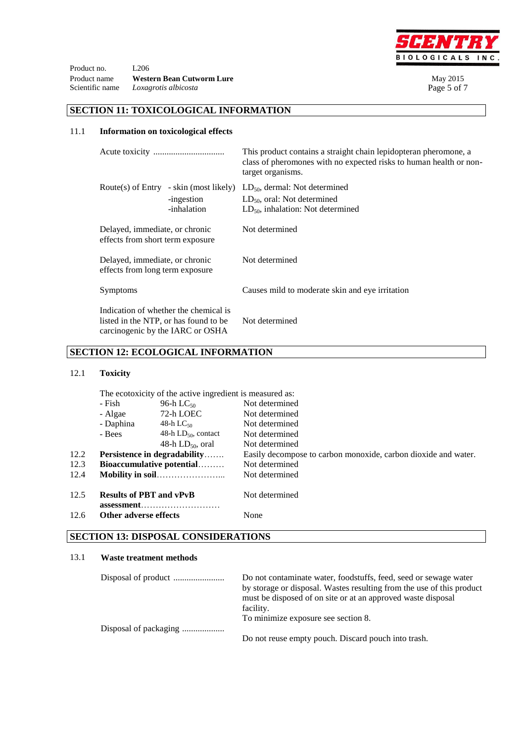

Product no. L<sub>206</sub> Product name **Western Bean Cutworm Lure** May 2015<br> **Scientific name** *Loxagrotis albicosta* Page 5 of 7 Scientific name *Loxagrotis albicosta* 

### **SECTION 11: TOXICOLOGICAL INFORMATION**

### 11.1 **Information on toxicological effects**

|                                                                                                                    |                                                                     | This product contains a straight chain lepidopteran pheromone, a<br>class of pheromones with no expected risks to human health or non-<br>target organisms. |  |  |  |
|--------------------------------------------------------------------------------------------------------------------|---------------------------------------------------------------------|-------------------------------------------------------------------------------------------------------------------------------------------------------------|--|--|--|
|                                                                                                                    | Route(s) of Entry - skin (most likely)<br>-ingestion<br>-inhalation | $LD_{50}$ , dermal: Not determined<br>$LD_{50}$ , oral: Not determined<br>$LD_{50}$ , inhalation: Not determined                                            |  |  |  |
| Delayed, immediate, or chronic<br>effects from short term exposure                                                 |                                                                     | Not determined                                                                                                                                              |  |  |  |
| Delayed, immediate, or chronic<br>effects from long term exposure                                                  |                                                                     | Not determined                                                                                                                                              |  |  |  |
| Symptoms                                                                                                           |                                                                     | Causes mild to moderate skin and eye irritation                                                                                                             |  |  |  |
| Indication of whether the chemical is<br>listed in the NTP, or has found to be<br>carcinogenic by the IARC or OSHA |                                                                     | Not determined                                                                                                                                              |  |  |  |

### **SECTION 12: ECOLOGICAL INFORMATION**

### 12.1 **Toxicity**

|      | The ecotoxicity of the active ingredient is measured as:                          |                          |                                                                |  |
|------|-----------------------------------------------------------------------------------|--------------------------|----------------------------------------------------------------|--|
|      | 96-h L $C_{50}$<br>- Fish<br>72-h LOEC<br>- Algae<br>- Daphina<br>48-h L $C_{50}$ |                          | Not determined                                                 |  |
|      |                                                                                   |                          | Not determined                                                 |  |
|      |                                                                                   |                          | Not determined                                                 |  |
|      | - Bees                                                                            | 48-h $LD_{50}$ , contact | Not determined                                                 |  |
|      |                                                                                   | 48-h $LD_{50}$ , oral    | Not determined                                                 |  |
| 12.2 | <b>Persistence in degradability</b>                                               |                          | Easily decompose to carbon monoxide, carbon dioxide and water. |  |
| 12.3 | Bioaccumulative potential                                                         |                          | Not determined                                                 |  |
| 12.4 |                                                                                   |                          | Not determined                                                 |  |
| 12.5 | <b>Results of PBT and vPvB</b>                                                    |                          | Not determined                                                 |  |
| 12.6 | Other adverse effects                                                             |                          | None                                                           |  |
|      |                                                                                   |                          |                                                                |  |

## **SECTION 13: DISPOSAL CONSIDERATIONS**

#### 13.1 **Waste treatment methods**

| Do not contaminate water, foodstuffs, feed, seed or sewage water<br>by storage or disposal. Wastes resulting from the use of this product |  |
|-------------------------------------------------------------------------------------------------------------------------------------------|--|
| must be disposed of on site or at an approved waste disposal                                                                              |  |
| facility.                                                                                                                                 |  |
| To minimize exposure see section 8.                                                                                                       |  |
|                                                                                                                                           |  |
| Do not reuse empty pouch. Discard pouch into trash.                                                                                       |  |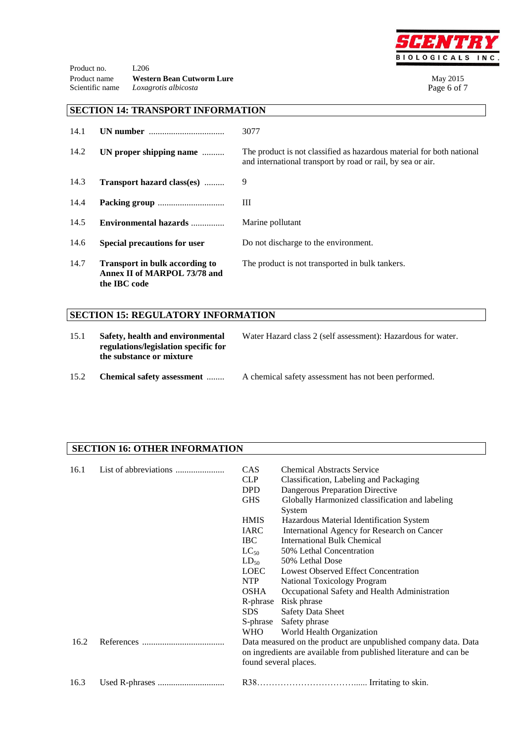

Product no. L<sub>206</sub> Product name **Western Bean Cutworm Lure** May 2015<br> **Scientific name** *Loxagrotis albicosta* Page 6 of 7 Loxagrotis albicosta

### **SECTION 14: TRANSPORT INFORMATION**

| 14.1 | UN number                                                                             | 3077                                                                                                                                 |
|------|---------------------------------------------------------------------------------------|--------------------------------------------------------------------------------------------------------------------------------------|
| 14.2 | UN proper shipping name                                                               | The product is not classified as hazardous material for both national<br>and international transport by road or rail, by sea or air. |
| 14.3 | Transport hazard class(es)                                                            | 9                                                                                                                                    |
| 14.4 |                                                                                       | Ш                                                                                                                                    |
| 14.5 | Environmental hazards                                                                 | Marine pollutant                                                                                                                     |
| 14.6 | <b>Special precautions for user</b>                                                   | Do not discharge to the environment.                                                                                                 |
| 14.7 | <b>Transport in bulk according to</b><br>Annex II of MARPOL 73/78 and<br>the IBC code | The product is not transported in bulk tankers.                                                                                      |

## **SECTION 15: REGULATORY INFORMATION**

| 15.1 | Safety, health and environmental<br>regulations/legislation specific for<br>the substance or mixture | Water Hazard class 2 (self assessment): Hazardous for water. |  |
|------|------------------------------------------------------------------------------------------------------|--------------------------------------------------------------|--|
| 15.2 | <b>Chemical safety assessment</b>                                                                    | A chemical safety assessment has not been performed.         |  |

### **SECTION 16: OTHER INFORMATION**

| 16.1 |  | CAS<br><b>CLP</b><br><b>DPD</b><br><b>GHS</b>                                                                                                                 | <b>Chemical Abstracts Service</b><br>Classification, Labeling and Packaging<br>Dangerous Preparation Directive<br>Globally Harmonized classification and labeling<br>System |  |
|------|--|---------------------------------------------------------------------------------------------------------------------------------------------------------------|-----------------------------------------------------------------------------------------------------------------------------------------------------------------------------|--|
|      |  | <b>HMIS</b>                                                                                                                                                   | Hazardous Material Identification System                                                                                                                                    |  |
|      |  | <b>IARC</b>                                                                                                                                                   | International Agency for Research on Cancer                                                                                                                                 |  |
|      |  | IBC.                                                                                                                                                          | <b>International Bulk Chemical</b>                                                                                                                                          |  |
|      |  | $LC_{50}$                                                                                                                                                     | 50% Lethal Concentration                                                                                                                                                    |  |
|      |  | $LD_{50}$                                                                                                                                                     | 50% Lethal Dose                                                                                                                                                             |  |
|      |  | LOEC                                                                                                                                                          | Lowest Observed Effect Concentration                                                                                                                                        |  |
|      |  | <b>NTP</b>                                                                                                                                                    | National Toxicology Program                                                                                                                                                 |  |
|      |  | <b>OSHA</b>                                                                                                                                                   | Occupational Safety and Health Administration                                                                                                                               |  |
|      |  | R-phrase                                                                                                                                                      | Risk phrase                                                                                                                                                                 |  |
|      |  | SDS.                                                                                                                                                          | <b>Safety Data Sheet</b>                                                                                                                                                    |  |
|      |  | S-phrase                                                                                                                                                      | Safety phrase                                                                                                                                                               |  |
|      |  | <b>WHO</b>                                                                                                                                                    | World Health Organization                                                                                                                                                   |  |
| 16.2 |  | Data measured on the product are unpublished company data. Data<br>on ingredients are available from published literature and can be<br>found several places. |                                                                                                                                                                             |  |
| 16.3 |  |                                                                                                                                                               |                                                                                                                                                                             |  |